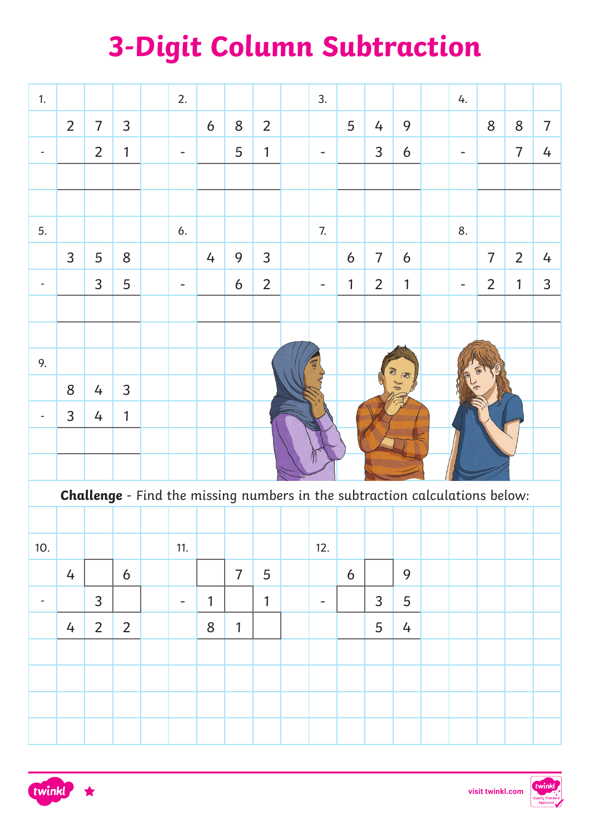# **3-Digit Column Subtraction**

| 1.                       |                                                                                    |                |                |  | 2.                       |              |                |                |  | 3.                       |   |                |            |  | 4.                           |                |                |                |
|--------------------------|------------------------------------------------------------------------------------|----------------|----------------|--|--------------------------|--------------|----------------|----------------|--|--------------------------|---|----------------|------------|--|------------------------------|----------------|----------------|----------------|
|                          | $\overline{2}$                                                                     | $\overline{7}$ | 3              |  |                          | 6            | 8              | $\overline{2}$ |  |                          | 5 | 4              | 9          |  |                              | 8              | 8              | $\overline{7}$ |
| $\overline{\phantom{a}}$ |                                                                                    | $\overline{2}$ | 1              |  |                          |              | 5              | 1              |  | $\overline{\phantom{0}}$ |   | 3              | 6          |  |                              |                | $\overline{7}$ | 4              |
|                          |                                                                                    |                |                |  |                          |              |                |                |  |                          |   |                |            |  |                              |                |                |                |
|                          |                                                                                    |                |                |  |                          |              |                |                |  |                          |   |                |            |  |                              |                |                |                |
| 5.                       |                                                                                    |                |                |  | 6.                       |              |                |                |  | 7.                       |   |                |            |  | 8.                           |                |                |                |
|                          | 3                                                                                  | 5              | 8              |  |                          | 4            | 9              | 3              |  |                          | 6 | $\overline{7}$ | 6          |  |                              | $\overline{7}$ | $\overline{2}$ | 4              |
| $\overline{\phantom{a}}$ |                                                                                    | 3              | 5              |  |                          |              | 6              | $\overline{2}$ |  | $\equiv$                 | 1 | $\overline{2}$ | 1          |  | $\qquad \qquad \blacksquare$ | $\overline{2}$ | $\mathbf{1}$   | 3              |
|                          |                                                                                    |                |                |  |                          |              |                |                |  |                          |   |                |            |  |                              |                |                |                |
|                          |                                                                                    |                |                |  |                          |              |                |                |  |                          |   |                |            |  |                              |                |                |                |
| 9.                       |                                                                                    |                |                |  |                          |              |                |                |  |                          |   |                | ø          |  |                              |                |                |                |
|                          | 8                                                                                  | 4              | 3              |  |                          |              |                |                |  |                          |   |                | $\sqrt{2}$ |  |                              |                |                |                |
|                          | 3                                                                                  | 4              | 1              |  |                          |              |                |                |  |                          |   |                |            |  |                              |                |                |                |
|                          |                                                                                    |                |                |  |                          |              |                |                |  |                          |   |                |            |  |                              |                |                |                |
|                          |                                                                                    |                |                |  |                          |              |                |                |  |                          |   |                |            |  |                              |                |                |                |
|                          | <b>Challenge</b> - Find the missing numbers in the subtraction calculations below: |                |                |  |                          |              |                |                |  |                          |   |                |            |  |                              |                |                |                |
|                          |                                                                                    |                |                |  |                          |              |                |                |  |                          |   |                |            |  |                              |                |                |                |
| 10.                      |                                                                                    |                |                |  | 11.                      |              |                |                |  | 12.                      |   |                |            |  |                              |                |                |                |
|                          | 4                                                                                  |                | 6              |  |                          |              | $\overline{7}$ | 5              |  |                          | 6 |                | 9          |  |                              |                |                |                |
| $\overline{\phantom{a}}$ |                                                                                    | $\overline{3}$ |                |  | $\overline{\phantom{a}}$ | $\mathbf{1}$ |                | $\overline{1}$ |  | -                        |   | $\overline{3}$ | 5          |  |                              |                |                |                |
|                          | $\overline{4}$                                                                     | $\overline{2}$ | $\overline{2}$ |  |                          | 8            | $\mathbf{1}$   |                |  |                          |   | 5              | 4          |  |                              |                |                |                |
|                          |                                                                                    |                |                |  |                          |              |                |                |  |                          |   |                |            |  |                              |                |                |                |
|                          |                                                                                    |                |                |  |                          |              |                |                |  |                          |   |                |            |  |                              |                |                |                |
|                          |                                                                                    |                |                |  |                          |              |                |                |  |                          |   |                |            |  |                              |                |                |                |
|                          |                                                                                    |                |                |  |                          |              |                |                |  |                          |   |                |            |  |                              |                |                |                |



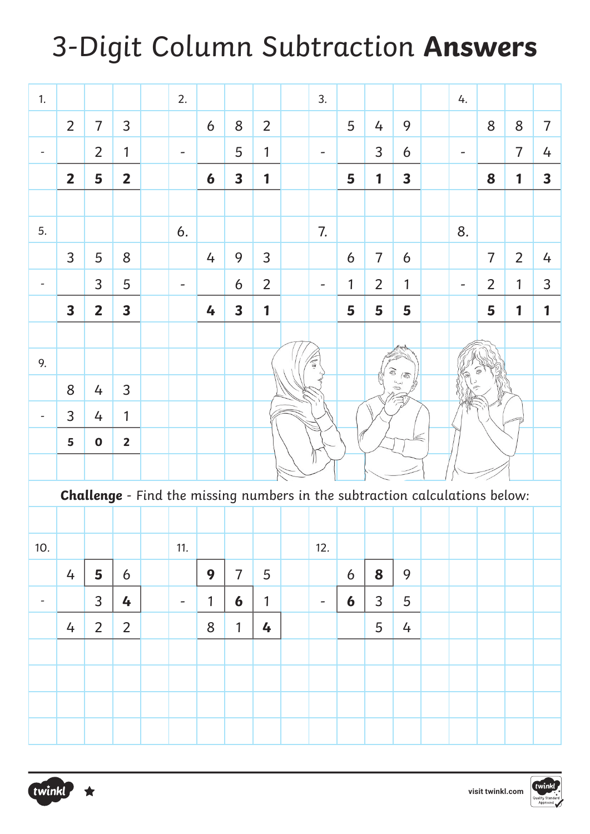## 3-Digit Column Subtraction **Answers**

| 1.                       |                         |                         |                         | 2.                       |              |                         |                |                                                                                    | 3.                       |                  |                |                         |  | 4. |                |                |                |
|--------------------------|-------------------------|-------------------------|-------------------------|--------------------------|--------------|-------------------------|----------------|------------------------------------------------------------------------------------|--------------------------|------------------|----------------|-------------------------|--|----|----------------|----------------|----------------|
|                          | $\overline{2}$          | $\overline{7}$          | 3                       |                          | 6            | 8                       | $\overline{2}$ |                                                                                    |                          | 5                | 4              | 9                       |  |    | 8              | 8              | $\overline{7}$ |
| $\overline{\phantom{a}}$ |                         | $\overline{2}$          | 1                       | $\overline{a}$           |              | 5                       | 1              |                                                                                    | -                        |                  | 3              | 6                       |  |    |                | $\overline{7}$ | 4              |
|                          | $\overline{2}$          | 5                       | $\overline{2}$          |                          | 6            | $\overline{\mathbf{3}}$ | 1              |                                                                                    |                          | 5                | 1              | $\overline{\mathbf{3}}$ |  |    | 8              | $\mathbf{1}$   | 3              |
|                          |                         |                         |                         |                          |              |                         |                |                                                                                    |                          |                  |                |                         |  |    |                |                |                |
| 5.                       |                         |                         |                         | 6.                       |              |                         |                |                                                                                    | 7.                       |                  |                |                         |  | 8. |                |                |                |
|                          | 3                       | 5                       | 8                       |                          | 4            | 9                       | 3              |                                                                                    |                          | 6                | $\overline{7}$ | 6                       |  |    | $\overline{7}$ | $\overline{2}$ | 4              |
| $\overline{\phantom{a}}$ |                         | 3                       | 5                       |                          |              | 6                       | $\overline{2}$ |                                                                                    |                          | 1                | $\overline{2}$ | 1                       |  |    | $\overline{2}$ | 1              | 3              |
|                          | $\overline{\mathbf{3}}$ | $\overline{\mathbf{2}}$ | $\overline{\mathbf{3}}$ |                          | 4            | $\overline{\mathbf{3}}$ | 1              |                                                                                    |                          | 5                | 5              | 5                       |  |    | 5              | $\mathbf{1}$   | $\mathbf{1}$   |
|                          |                         |                         |                         |                          |              |                         |                |                                                                                    |                          |                  |                |                         |  |    |                |                |                |
| 9.                       |                         |                         |                         |                          |              |                         |                |                                                                                    |                          |                  |                |                         |  |    |                |                |                |
|                          | 8                       | 4                       | 3                       |                          |              |                         |                | Ō<br>$\mathbb{R}$<br>لمسا<br>S                                                     |                          |                  |                |                         |  |    |                |                |                |
| $\overline{\phantom{a}}$ | 3                       | 4                       | 1                       |                          |              |                         |                |                                                                                    |                          |                  |                |                         |  |    |                |                |                |
|                          | 5                       | $\mathbf 0$             | $\overline{2}$          |                          |              |                         |                |                                                                                    |                          |                  |                |                         |  |    |                |                |                |
|                          |                         |                         |                         |                          |              |                         |                |                                                                                    |                          |                  |                |                         |  |    |                |                |                |
|                          |                         |                         |                         |                          |              |                         |                | <b>Challenge</b> - Find the missing numbers in the subtraction calculations below: |                          |                  |                |                         |  |    |                |                |                |
|                          |                         |                         |                         |                          |              |                         |                |                                                                                    |                          |                  |                |                         |  |    |                |                |                |
| 10.                      |                         |                         |                         | 11.                      |              |                         |                |                                                                                    | 12.                      |                  |                |                         |  |    |                |                |                |
|                          | 4                       | 5                       | 6                       |                          | 9            | $\overline{7}$          | 5              |                                                                                    |                          | $\boldsymbol{6}$ | 8              | 9                       |  |    |                |                |                |
| $\overline{\phantom{a}}$ |                         | $\overline{3}$          | 4                       | $\overline{\phantom{a}}$ | $\mathbf{1}$ | $\boldsymbol{6}$        | $\mathbf{1}$   |                                                                                    | $\overline{\phantom{a}}$ | $\boldsymbol{6}$ | $\overline{3}$ | 5                       |  |    |                |                |                |
|                          | 4                       | $\overline{2}$          | $\overline{2}$          |                          | 8            | $\mathbf{1}$            | 4              |                                                                                    |                          |                  | 5              | 4                       |  |    |                |                |                |
|                          |                         |                         |                         |                          |              |                         |                |                                                                                    |                          |                  |                |                         |  |    |                |                |                |
|                          |                         |                         |                         |                          |              |                         |                |                                                                                    |                          |                  |                |                         |  |    |                |                |                |
|                          |                         |                         |                         |                          |              |                         |                |                                                                                    |                          |                  |                |                         |  |    |                |                |                |
|                          |                         |                         |                         |                          |              |                         |                |                                                                                    |                          |                  |                |                         |  |    |                |                |                |



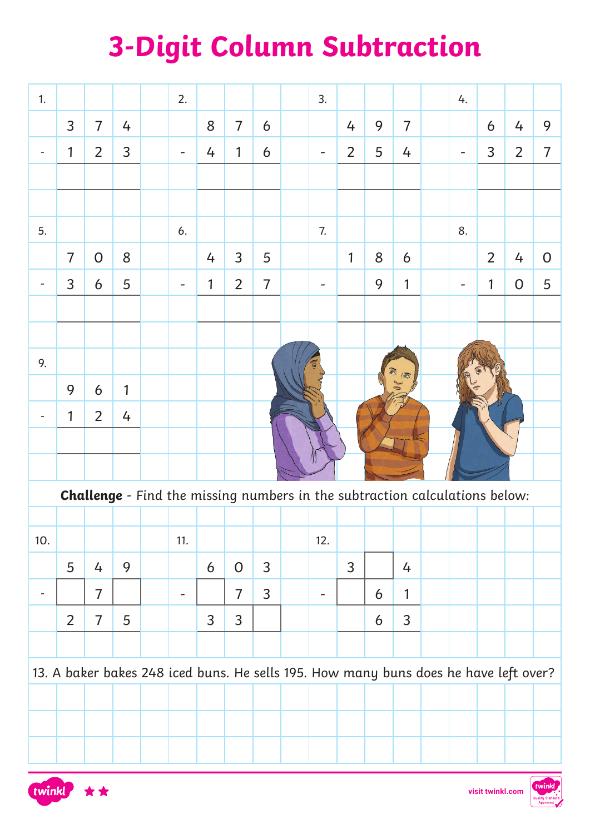# **3-Digit Column Subtraction**

| 1.                           |                                                                                    |                |   |  | 2.                           |                |                |                |  | 3.  |                |   |                |  | 4.                                                                                   |                |                |                |
|------------------------------|------------------------------------------------------------------------------------|----------------|---|--|------------------------------|----------------|----------------|----------------|--|-----|----------------|---|----------------|--|--------------------------------------------------------------------------------------|----------------|----------------|----------------|
|                              | 3                                                                                  | $\overline{7}$ | 4 |  |                              | 8              | $\overline{7}$ | 6              |  |     | 4              | 9 | $\overline{7}$ |  |                                                                                      | 6              | 4              | 9              |
| $\overline{\phantom{a}}$     | 1                                                                                  | $\overline{2}$ | 3 |  |                              | 4              | 1              | 6              |  |     | $\overline{2}$ | 5 | 4              |  |                                                                                      | 3              | $\overline{2}$ | $\overline{7}$ |
|                              |                                                                                    |                |   |  |                              |                |                |                |  |     |                |   |                |  |                                                                                      |                |                |                |
|                              |                                                                                    |                |   |  |                              |                |                |                |  |     |                |   |                |  |                                                                                      |                |                |                |
| 5.                           |                                                                                    |                |   |  | 6.                           |                |                |                |  | 7.  |                |   |                |  | 8.                                                                                   |                |                |                |
|                              | $\overline{7}$                                                                     | 0              | 8 |  |                              | 4              | 3              | 5              |  |     | 1              | 8 | 6              |  |                                                                                      | $\overline{2}$ | 4              | $\overline{0}$ |
| $\qquad \qquad \blacksquare$ | 3                                                                                  | 6              | 5 |  |                              | 1              | $\overline{2}$ | $\overline{7}$ |  |     |                | 9 | 1              |  |                                                                                      | $\mathbf{1}$   | $\mathbf{O}$   | 5              |
|                              |                                                                                    |                |   |  |                              |                |                |                |  |     |                |   |                |  |                                                                                      |                |                |                |
|                              |                                                                                    |                |   |  |                              |                |                |                |  |     |                |   |                |  |                                                                                      |                |                |                |
| 9.                           |                                                                                    |                |   |  |                              |                |                |                |  |     |                |   | $\sqrt{2}$     |  |                                                                                      |                |                |                |
|                              | 9                                                                                  | 6              | 1 |  |                              |                |                |                |  |     |                |   |                |  |                                                                                      |                |                |                |
|                              | 1                                                                                  | $\overline{2}$ | 4 |  |                              |                |                |                |  |     |                |   |                |  |                                                                                      |                |                |                |
|                              |                                                                                    |                |   |  |                              |                |                |                |  |     |                |   |                |  |                                                                                      |                |                |                |
|                              |                                                                                    |                |   |  |                              |                |                |                |  |     |                |   |                |  |                                                                                      |                |                |                |
|                              | <b>Challenge</b> - Find the missing numbers in the subtraction calculations below: |                |   |  |                              |                |                |                |  |     |                |   |                |  |                                                                                      |                |                |                |
|                              |                                                                                    |                |   |  |                              |                |                |                |  |     |                |   |                |  |                                                                                      |                |                |                |
| 10.                          |                                                                                    |                |   |  | 11.                          |                |                |                |  | 12. |                |   |                |  |                                                                                      |                |                |                |
|                              | 5                                                                                  | 4              | 9 |  |                              | 6              | $\mathsf{O}$   | 3              |  |     | $\overline{3}$ |   | 4              |  |                                                                                      |                |                |                |
| ۰                            |                                                                                    | $\overline{7}$ |   |  | $\qquad \qquad \blacksquare$ |                | $\overline{7}$ | 3              |  | -   |                | 6 | 1              |  |                                                                                      |                |                |                |
|                              | $\overline{2}$                                                                     | $\overline{7}$ | 5 |  |                              | $\overline{3}$ | $\mathsf{3}$   |                |  |     |                | 6 | 3              |  |                                                                                      |                |                |                |
|                              |                                                                                    |                |   |  |                              |                |                |                |  |     |                |   |                |  |                                                                                      |                |                |                |
|                              |                                                                                    |                |   |  |                              |                |                |                |  |     |                |   |                |  | 13. A baker bakes 248 iced buns. He sells 195. How many buns does he have left over? |                |                |                |
|                              |                                                                                    |                |   |  |                              |                |                |                |  |     |                |   |                |  |                                                                                      |                |                |                |
|                              |                                                                                    |                |   |  |                              |                |                |                |  |     |                |   |                |  |                                                                                      |                |                |                |
|                              |                                                                                    |                |   |  |                              |                |                |                |  |     |                |   |                |  |                                                                                      |                |                |                |



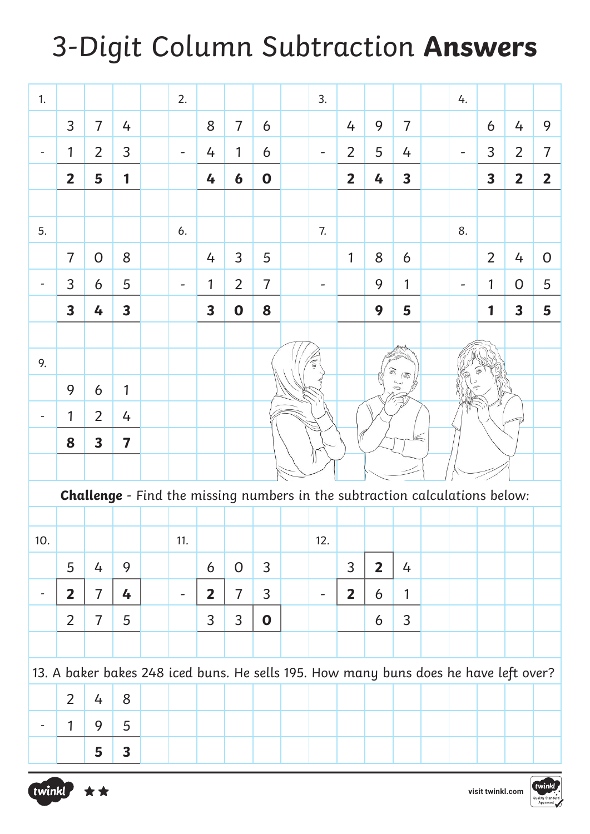### 3-Digit Column Subtraction **Answers**

| 1.                       |                                                                                    |                |                         |  | 2.                                                                                   |                         |                |                |  | 3.  |                |                |                             |  | 4. |                         |                         |                |
|--------------------------|------------------------------------------------------------------------------------|----------------|-------------------------|--|--------------------------------------------------------------------------------------|-------------------------|----------------|----------------|--|-----|----------------|----------------|-----------------------------|--|----|-------------------------|-------------------------|----------------|
|                          | 3                                                                                  | $\overline{7}$ | 4                       |  |                                                                                      | 8                       | $\overline{7}$ | 6              |  |     | 4              | 9              | $\overline{7}$              |  |    | 6                       | 4                       | 9              |
| $\overline{\phantom{a}}$ | 1                                                                                  | $\overline{2}$ | 3                       |  |                                                                                      | 4                       | 1              | 6              |  |     | 2              | 5              | 4                           |  |    | 3                       | $\overline{2}$          | $\overline{7}$ |
|                          | $\overline{\mathbf{2}}$                                                            | 5              | 1                       |  |                                                                                      | 4                       | 6              | $\mathbf 0$    |  |     | $\overline{2}$ | 4              | $\overline{\mathbf{3}}$     |  |    | $\overline{\mathbf{3}}$ | $\overline{\mathbf{2}}$ | $\overline{2}$ |
|                          |                                                                                    |                |                         |  |                                                                                      |                         |                |                |  |     |                |                |                             |  |    |                         |                         |                |
| 5.                       |                                                                                    |                |                         |  | 6.                                                                                   |                         |                |                |  | 7.  |                |                |                             |  | 8. |                         |                         |                |
|                          | $\overline{7}$                                                                     | $\overline{O}$ | 8                       |  |                                                                                      | 4                       | 3              | 5              |  |     | 1              | 8              | 6                           |  |    | $\overline{2}$          | 4                       | $\overline{O}$ |
| $\overline{\phantom{a}}$ | 3                                                                                  | 6              | 5                       |  |                                                                                      | 1                       | 2              | $\overline{7}$ |  | -   |                | 9              | 1                           |  |    | 1                       | $\overline{0}$          | 5              |
|                          | $\overline{\mathbf{3}}$                                                            | 4              | $\overline{\mathbf{3}}$ |  |                                                                                      | $\overline{\mathbf{3}}$ | $\mathbf 0$    | 8              |  |     |                | 9              | 5                           |  |    | 1                       | $\overline{\mathbf{3}}$ | 5              |
|                          |                                                                                    |                |                         |  |                                                                                      |                         |                |                |  |     |                |                |                             |  |    |                         |                         |                |
| 9.                       |                                                                                    |                |                         |  |                                                                                      |                         |                |                |  |     |                |                | ®,<br>$\sqrt{\mathfrak{D}}$ |  |    |                         |                         |                |
|                          | 9                                                                                  | 6              | 1                       |  |                                                                                      |                         |                |                |  |     |                |                | D                           |  |    |                         |                         |                |
| $\overline{\phantom{a}}$ | 1                                                                                  | $\overline{2}$ | 4                       |  |                                                                                      |                         |                |                |  |     |                |                |                             |  |    |                         |                         |                |
|                          | 8                                                                                  | 3              | $\overline{\mathbf{7}}$ |  |                                                                                      |                         |                |                |  |     |                |                |                             |  |    |                         |                         |                |
|                          |                                                                                    |                |                         |  |                                                                                      |                         |                |                |  |     |                |                |                             |  |    |                         |                         |                |
|                          | <b>Challenge</b> - Find the missing numbers in the subtraction calculations below: |                |                         |  |                                                                                      |                         |                |                |  |     |                |                |                             |  |    |                         |                         |                |
|                          |                                                                                    |                |                         |  |                                                                                      |                         |                |                |  |     |                |                |                             |  |    |                         |                         |                |
| 10.                      |                                                                                    |                |                         |  | 11.                                                                                  |                         |                |                |  | 12. |                |                |                             |  |    |                         |                         |                |
|                          | 5                                                                                  | 4              | 9                       |  |                                                                                      | 6                       | $\mathsf{O}$   | 3              |  |     | 3 <sup>1</sup> | $\overline{2}$ | 4                           |  |    |                         |                         |                |
| $\overline{\phantom{a}}$ | $\overline{2}$                                                                     | $\overline{7}$ | 4                       |  | -                                                                                    | $\mathbf{2}$            | $\overline{7}$ | 3              |  |     | $\overline{2}$ | 6              | 1                           |  |    |                         |                         |                |
|                          | $\overline{2}$                                                                     | $\overline{7}$ | 5                       |  |                                                                                      | 3                       | $\mathsf{3}$   | $\mathbf 0$    |  |     |                | 6              | 3                           |  |    |                         |                         |                |
|                          |                                                                                    |                |                         |  |                                                                                      |                         |                |                |  |     |                |                |                             |  |    |                         |                         |                |
|                          |                                                                                    |                |                         |  | 13. A baker bakes 248 iced buns. He sells 195. How many buns does he have left over? |                         |                |                |  |     |                |                |                             |  |    |                         |                         |                |
|                          | $\overline{2}$                                                                     | 4              | 8                       |  |                                                                                      |                         |                |                |  |     |                |                |                             |  |    |                         |                         |                |
| $\overline{\phantom{a}}$ | 1                                                                                  | 9              | 5                       |  |                                                                                      |                         |                |                |  |     |                |                |                             |  |    |                         |                         |                |
|                          |                                                                                    | 5              | 3                       |  |                                                                                      |                         |                |                |  |     |                |                |                             |  |    |                         |                         |                |



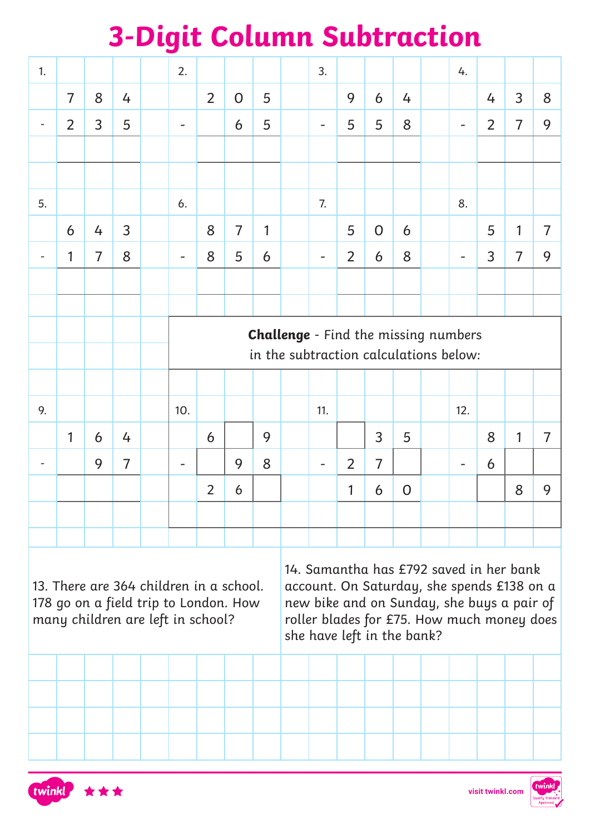## **3-Digit Column Subtraction**

| 1. |                                                                                                                       |                |                | 2.                                          |                |                |   |                                                                                                                                                                                                                 | 3.                           |                |                |                |  | 4.  |                |                |                |  |
|----|-----------------------------------------------------------------------------------------------------------------------|----------------|----------------|---------------------------------------------|----------------|----------------|---|-----------------------------------------------------------------------------------------------------------------------------------------------------------------------------------------------------------------|------------------------------|----------------|----------------|----------------|--|-----|----------------|----------------|----------------|--|
|    | $\overline{7}$                                                                                                        | 8              | 4              |                                             | $\overline{2}$ | $\overline{O}$ | 5 |                                                                                                                                                                                                                 |                              | 9              | 6              | 4              |  |     | 4              | 3              | 8              |  |
| -  | 2                                                                                                                     | 3              | 5              |                                             |                | 6              | 5 |                                                                                                                                                                                                                 | $\overline{a}$               | 5              | 5              | 8              |  |     | $\overline{2}$ | $\overline{7}$ | 9              |  |
|    |                                                                                                                       |                |                |                                             |                |                |   |                                                                                                                                                                                                                 |                              |                |                |                |  |     |                |                |                |  |
|    |                                                                                                                       |                |                |                                             |                |                |   |                                                                                                                                                                                                                 |                              |                |                |                |  |     |                |                |                |  |
| 5. |                                                                                                                       |                |                | 6.                                          |                |                |   |                                                                                                                                                                                                                 | 7.                           |                |                |                |  | 8.  |                |                |                |  |
|    | 6                                                                                                                     | 4              | 3              |                                             | 8              | $\overline{7}$ | 1 |                                                                                                                                                                                                                 |                              | 5              | 0              | 6              |  |     | 5              | 1              | $\overline{7}$ |  |
|    | 1                                                                                                                     | $\overline{7}$ | 8              |                                             | 8              | 5              | 6 |                                                                                                                                                                                                                 | $\qquad \qquad \blacksquare$ | 2              | 6              | 8              |  |     | 3              | $\overline{7}$ | 9              |  |
|    |                                                                                                                       |                |                |                                             |                |                |   |                                                                                                                                                                                                                 |                              |                |                |                |  |     |                |                |                |  |
|    |                                                                                                                       |                |                |                                             |                |                |   |                                                                                                                                                                                                                 |                              |                |                |                |  |     |                |                |                |  |
|    |                                                                                                                       |                |                | <b>Challenge</b> - Find the missing numbers |                |                |   |                                                                                                                                                                                                                 |                              |                |                |                |  |     |                |                |                |  |
|    |                                                                                                                       |                |                | in the subtraction calculations below:      |                |                |   |                                                                                                                                                                                                                 |                              |                |                |                |  |     |                |                |                |  |
|    |                                                                                                                       |                |                |                                             |                |                |   |                                                                                                                                                                                                                 |                              |                |                |                |  |     |                |                |                |  |
| 9. |                                                                                                                       |                |                | 10.                                         |                |                |   |                                                                                                                                                                                                                 | 11.                          |                |                |                |  | 12. |                |                |                |  |
|    | 1                                                                                                                     | 6              | 4              |                                             | 6              |                | 9 |                                                                                                                                                                                                                 |                              |                | $\overline{3}$ | 5              |  |     | 8              | $\mathbf{1}$   | $\overline{7}$ |  |
|    |                                                                                                                       | 9              | $\overline{7}$ |                                             |                | 9              | 8 |                                                                                                                                                                                                                 | $\overline{\phantom{a}}$     | $\overline{2}$ | $\overline{7}$ |                |  |     | 6              |                |                |  |
|    |                                                                                                                       |                |                |                                             | $\overline{2}$ | 6              |   |                                                                                                                                                                                                                 |                              | 1              | 6              | $\overline{O}$ |  |     |                | 8              | 9              |  |
|    |                                                                                                                       |                |                |                                             |                |                |   |                                                                                                                                                                                                                 |                              |                |                |                |  |     |                |                |                |  |
|    |                                                                                                                       |                |                |                                             |                |                |   |                                                                                                                                                                                                                 |                              |                |                |                |  |     |                |                |                |  |
|    | 13. There are 364 children in a school.<br>178 go on a field trip to London. How<br>many children are left in school? |                |                |                                             |                |                |   | 14. Samantha has £792 saved in her bank<br>account. On Saturday, she spends £138 on a<br>new bike and on Sunday, she buys a pair of<br>roller blades for £75. How much money does<br>she have left in the bank? |                              |                |                |                |  |     |                |                |                |  |
|    |                                                                                                                       |                |                |                                             |                |                |   |                                                                                                                                                                                                                 |                              |                |                |                |  |     |                |                |                |  |
|    |                                                                                                                       |                |                |                                             |                |                |   |                                                                                                                                                                                                                 |                              |                |                |                |  |     |                |                |                |  |
|    |                                                                                                                       |                |                |                                             |                |                |   |                                                                                                                                                                                                                 |                              |                |                |                |  |     |                |                |                |  |
|    |                                                                                                                       |                |                |                                             |                |                |   |                                                                                                                                                                                                                 |                              |                |                |                |  |     |                |                |                |  |